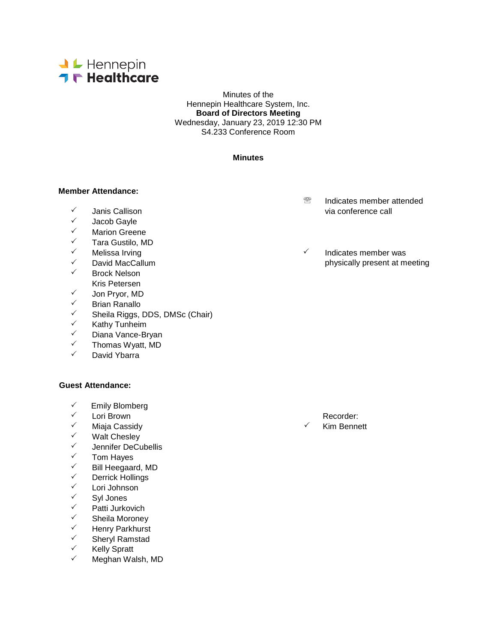

Minutes of the Hennepin Healthcare System, Inc. **Board of Directors Meeting** Wednesday, January 23, 2019 12:30 PM S4.233 Conference Room

### **Minutes**

#### **Member Attendance:**

- 
- √ Jacob Gayle<br>✓ Marion Greer
- ✓ Marion Greene<br>✓ Tara Gustilo M
- <del>V</del> Tara Gustilo, MD<br>V Melissa Irving
- 
- 
- Brock Nelson Kris Petersen
- 
- √ Jon Pryor, MD<br>✓ Rrian Ranallo
- ✓ Brian Ranallo<br>✓ Sheila Riggs <del>V</del> Sheila Riggs, DDS, DMSc (Chair)<br>V Kathy Tunheim
- ✓ Kathy Tunheim<br>✓ Diana Vance-Br
- V Diana Vance-Bryan<br>V Thomas Wyatt MD
- $\checkmark$  Thomas Wyatt, MD
- David Ybarra

#### **Guest Attendance:**

- <del>V</del> Emily Blomberg<br>V Lori Brown
- 
- Miaja Cassidy Kim Bennett
- V Walt Chesley<br>V Lennifer DeCu
- <del>V</del> Jennifer DeCubellis<br>V Tom Haves
- √ Tom Hayes<br>✓ Rill Heegaar
- ✓ Bill Heegaard, MD<br>✓ Derrick Hollings
- <del>V</del> Derrick Hollings<br>V Lori Johnson
- ✓ Lori Johnson<br>✓ Syl Jones
- √ Syl Jones<br>✓ Patti Jurko
- ✓ Patti Jurkovich<br>✓ Sheila Moroney
- V Sheila Moroney<br>V Henry Parkhurst
- <del>V</del> Henry Parkhurst<br>V Sheryl Ramstad
- V Sheryl Ramstad<br>V Kelly Spratt
- $\checkmark$  Kelly Spratt
- Meghan Walsh, MD
- **<sup><sup>®</sup>** Indicates member attended</sup> via conference call and  $\sqrt{ }$  and  $\sqrt{ }$  via conference call
- Melissa Irving **Indicates** member was  $\checkmark$  David MacCallum physically present at meeting physically present at meeting

← Lori Brown Recorder:<br>← Miaia Cassidy Recorder: All Recorder: All Recorder: All Recorder: All Recorder: All Recorder: All Recorder: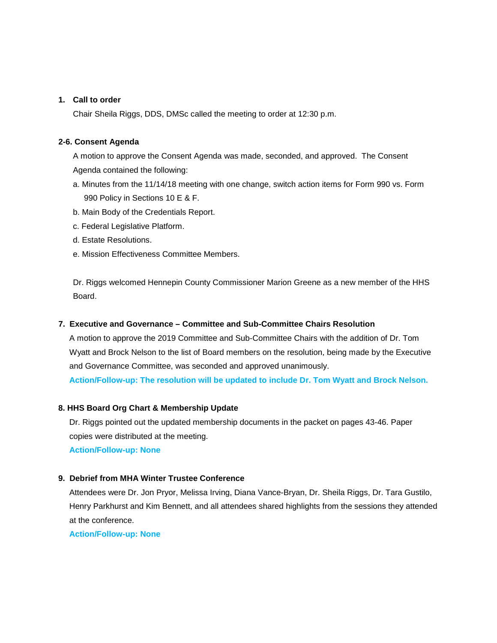### **1. Call to order**

Chair Sheila Riggs, DDS, DMSc called the meeting to order at 12:30 p.m.

### **2-6. Consent Agenda**

A motion to approve the Consent Agenda was made, seconded, and approved. The Consent Agenda contained the following:

- a. Minutes from the 11/14/18 meeting with one change, switch action items for Form 990 vs. Form 990 Policy in Sections 10 E & F.
- b. Main Body of the Credentials Report.
- c. Federal Legislative Platform.
- d. Estate Resolutions.
- e. Mission Effectiveness Committee Members.

Dr. Riggs welcomed Hennepin County Commissioner Marion Greene as a new member of the HHS Board.

### **7. Executive and Governance – Committee and Sub-Committee Chairs Resolution**

A motion to approve the 2019 Committee and Sub-Committee Chairs with the addition of Dr. Tom Wyatt and Brock Nelson to the list of Board members on the resolution, being made by the Executive and Governance Committee, was seconded and approved unanimously.

**Action/Follow-up: The resolution will be updated to include Dr. Tom Wyatt and Brock Nelson.**

#### **8. HHS Board Org Chart & Membership Update**

Dr. Riggs pointed out the updated membership documents in the packet on pages 43-46. Paper copies were distributed at the meeting.

**Action/Follow-up: None**

## **9. Debrief from MHA Winter Trustee Conference**

Attendees were Dr. Jon Pryor, Melissa Irving, Diana Vance-Bryan, Dr. Sheila Riggs, Dr. Tara Gustilo, Henry Parkhurst and Kim Bennett, and all attendees shared highlights from the sessions they attended at the conference.

**Action/Follow-up: None**